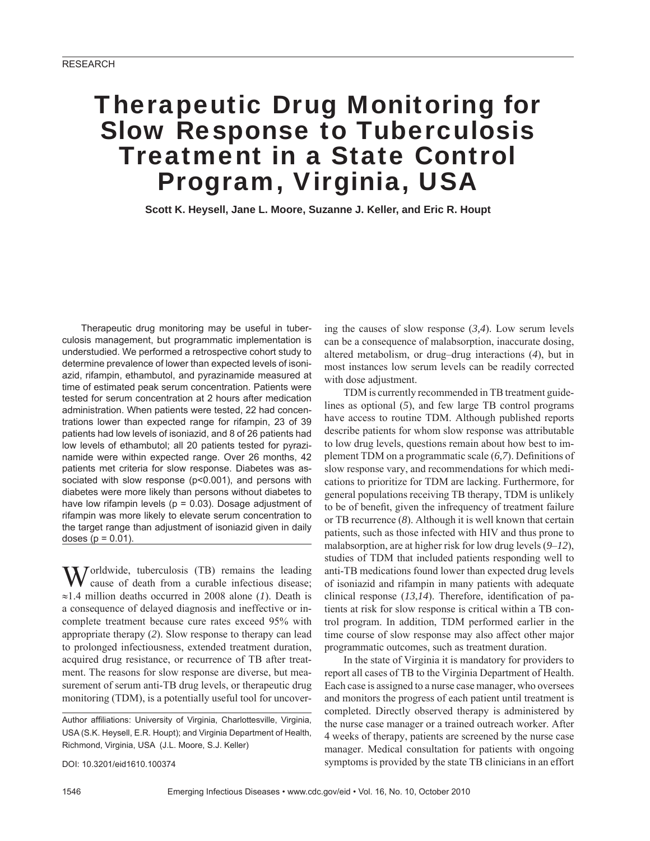# Therapeutic Drug Monitoring for Slow Response to Tuberculosis Treatment in a State Control Program, Virginia, USA

**Scott K. Heysell, Jane L. Moore, Suzanne J. Keller, and Eric R. Houpt**

Therapeutic drug monitoring may be useful in tuberculosis management, but programmatic implementation is understudied. We performed a retrospective cohort study to determine prevalence of lower than expected levels of isoniazid, rifampin, ethambutol, and pyrazinamide measured at time of estimated peak serum concentration. Patients were tested for serum concentration at 2 hours after medication administration. When patients were tested, 22 had concentrations lower than expected range for rifampin, 23 of 39 patients had low levels of isoniazid, and 8 of 26 patients had low levels of ethambutol; all 20 patients tested for pyrazinamide were within expected range. Over 26 months, 42 patients met criteria for slow response. Diabetes was associated with slow response (p<0.001), and persons with diabetes were more likely than persons without diabetes to have low rifampin levels ( $p = 0.03$ ). Dosage adjustment of rifampin was more likely to elevate serum concentration to the target range than adjustment of isoniazid given in daily doses ( $p = 0.01$ ).

 $\mathbf{W}$ orldwide, tuberculosis (TB) remains the leading cause of death from a curable infectious disease; ≈1.4 million deaths occurred in 2008 alone (*1*). Death is a consequence of delayed diagnosis and ineffective or incomplete treatment because cure rates exceed 95% with appropriate therapy (*2*). Slow response to therapy can lead to prolonged infectiousness, extended treatment duration, acquired drug resistance, or recurrence of TB after treatment. The reasons for slow response are diverse, but measurement of serum anti-TB drug levels, or therapeutic drug monitoring (TDM), is a potentially useful tool for uncover-

ing the causes of slow response (*3,4*). Low serum levels can be a consequence of malabsorption, inaccurate dosing, altered metabolism, or drug–drug interactions (*4*), but in most instances low serum levels can be readily corrected with dose adjustment.

TDM is currently recommended in TB treatment guidelines as optional (*5*), and few large TB control programs have access to routine TDM. Although published reports describe patients for whom slow response was attributable to low drug levels, questions remain about how best to implement TDM on a programmatic scale (6,7). Definitions of slow response vary, and recommendations for which medications to prioritize for TDM are lacking. Furthermore, for general populations receiving TB therapy, TDM is unlikely to be of benefit, given the infrequency of treatment failure or TB recurrence (*8*). Although it is well known that certain patients, such as those infected with HIV and thus prone to malabsorption, are at higher risk for low drug levels (*9*–*12*), studies of TDM that included patients responding well to anti-TB medications found lower than expected drug levels of isoniazid and rifampin in many patients with adequate clinical response  $(13,14)$ . Therefore, identification of patients at risk for slow response is critical within a TB control program. In addition, TDM performed earlier in the time course of slow response may also affect other major programmatic outcomes, such as treatment duration.

In the state of Virginia it is mandatory for providers to report all cases of TB to the Virginia Department of Health. Each case is assigned to a nurse case manager, who oversees and monitors the progress of each patient until treatment is completed. Directly observed therapy is administered by the nurse case manager or a trained outreach worker. After 4 weeks of therapy, patients are screened by the nurse case manager. Medical consultation for patients with ongoing symptoms is provided by the state TB clinicians in an effort

Author affiliations: University of Virginia, Charlottesville, Virginia, USA (S.K. Heysell, E.R. Houpt); and Virginia Department of Health, Richmond, Virginia, USA (J.L. Moore, S.J. Keller)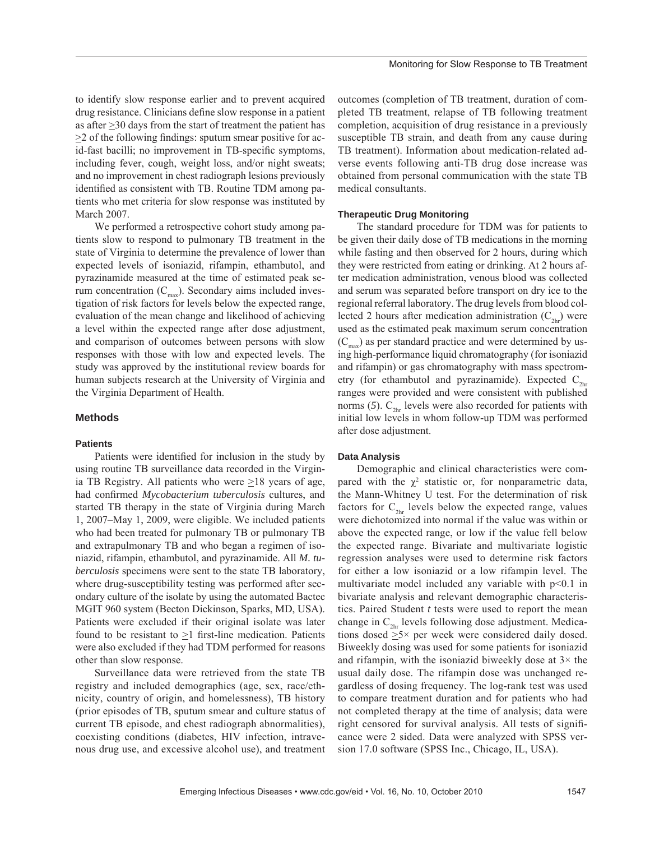to identify slow response earlier and to prevent acquired drug resistance. Clinicians define slow response in a patient as after >30 days from the start of treatment the patient has  $>2$  of the following findings: sputum smear positive for acid-fast bacilli; no improvement in TB-specific symptoms, including fever, cough, weight loss, and/or night sweats; and no improvement in chest radiograph lesions previously identified as consistent with TB. Routine TDM among patients who met criteria for slow response was instituted by March 2007.

We performed a retrospective cohort study among patients slow to respond to pulmonary TB treatment in the state of Virginia to determine the prevalence of lower than expected levels of isoniazid, rifampin, ethambutol, and pyrazinamide measured at the time of estimated peak serum concentration  $(C_{\text{max}})$ . Secondary aims included investigation of risk factors for levels below the expected range, evaluation of the mean change and likelihood of achieving a level within the expected range after dose adjustment, and comparison of outcomes between persons with slow responses with those with low and expected levels. The study was approved by the institutional review boards for human subjects research at the University of Virginia and the Virginia Department of Health.

#### **Methods**

#### **Patients**

Patients were identified for inclusion in the study by using routine TB surveillance data recorded in the Virginia TB Registry. All patients who were >18 years of age, had confirmed *Mycobacterium tuberculosis* cultures, and started TB therapy in the state of Virginia during March 1, 2007–May 1, 2009, were eligible. We included patients who had been treated for pulmonary TB or pulmonary TB and extrapulmonary TB and who began a regimen of isoniazid, rifampin, ethambutol, and pyrazinamide. All *M. tuberculosis* specimens were sent to the state TB laboratory, where drug-susceptibility testing was performed after secondary culture of the isolate by using the automated Bactec MGIT 960 system (Becton Dickinson, Sparks, MD, USA). Patients were excluded if their original isolate was later found to be resistant to  $\geq 1$  first-line medication. Patients were also excluded if they had TDM performed for reasons other than slow response.

Surveillance data were retrieved from the state TB registry and included demographics (age, sex, race/ethnicity, country of origin, and homelessness), TB history (prior episodes of TB, sputum smear and culture status of current TB episode, and chest radiograph abnormalities), coexisting conditions (diabetes, HIV infection, intravenous drug use, and excessive alcohol use), and treatment

outcomes (completion of TB treatment, duration of completed TB treatment, relapse of TB following treatment completion, acquisition of drug resistance in a previously susceptible TB strain, and death from any cause during TB treatment). Information about medication-related adverse events following anti-TB drug dose increase was obtained from personal communication with the state TB medical consultants.

#### **Therapeutic Drug Monitoring**

The standard procedure for TDM was for patients to be given their daily dose of TB medications in the morning while fasting and then observed for 2 hours, during which they were restricted from eating or drinking. At 2 hours after medication administration, venous blood was collected and serum was separated before transport on dry ice to the regional referral laboratory. The drug levels from blood collected 2 hours after medication administration  $(C_{2hr})$  were used as the estimated peak maximum serum concentration  $(C<sub>max</sub>)$  as per standard practice and were determined by using high-performance liquid chromatography (for isoniazid and rifampin) or gas chromatography with mass spectrometry (for ethambutol and pyrazinamide). Expected  $C_{2h}$ ranges were provided and were consistent with published norms  $(5)$ . C<sub>2hr</sub> levels were also recorded for patients with initial low levels in whom follow-up TDM was performed after dose adjustment.

#### **Data Analysis**

Demographic and clinical characteristics were compared with the  $\chi^2$  statistic or, for nonparametric data, the Mann-Whitney U test. For the determination of risk factors for  $C_{2hr}$  levels below the expected range, values were dichotomized into normal if the value was within or above the expected range, or low if the value fell below the expected range. Bivariate and multivariate logistic regression analyses were used to determine risk factors for either a low isoniazid or a low rifampin level. The multivariate model included any variable with p<0.1 in bivariate analysis and relevant demographic characteristics. Paired Student *t* tests were used to report the mean change in  $C_{2hr}$  levels following dose adjustment. Medications dosed  $\geq 5 \times$  per week were considered daily dosed. Biweekly dosing was used for some patients for isoniazid and rifampin, with the isoniazid biweekly dose at  $3\times$  the usual daily dose. The rifampin dose was unchanged regardless of dosing frequency. The log-rank test was used to compare treatment duration and for patients who had not completed therapy at the time of analysis; data were right censored for survival analysis. All tests of significance were 2 sided. Data were analyzed with SPSS version 17.0 software (SPSS Inc., Chicago, IL, USA).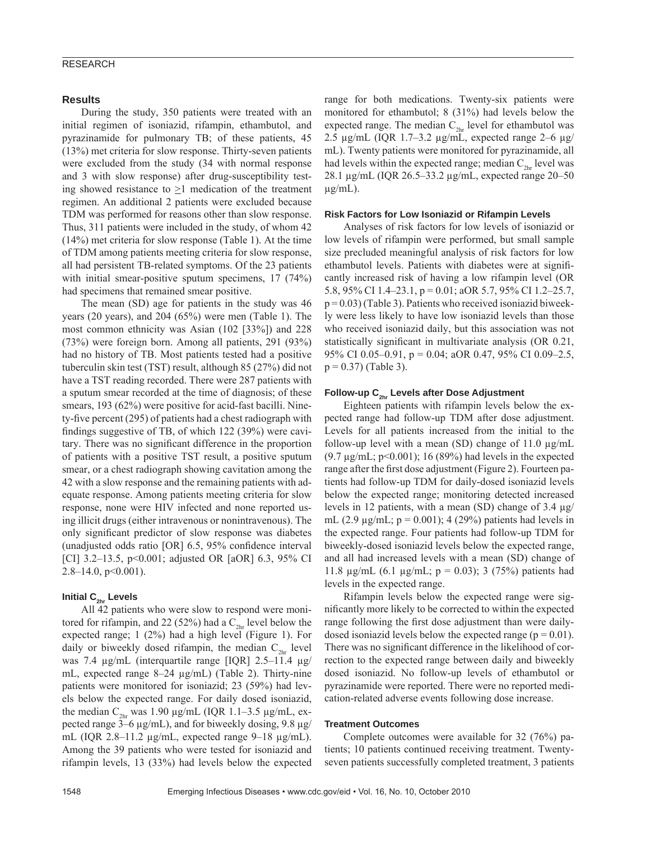## RESEARCH

#### **Results**

During the study, 350 patients were treated with an initial regimen of isoniazid, rifampin, ethambutol, and pyrazinamide for pulmonary TB; of these patients, 45 (13%) met criteria for slow response. Thirty-seven patients were excluded from the study (34 with normal response and 3 with slow response) after drug-susceptibility testing showed resistance to  $\geq 1$  medication of the treatment regimen. An additional 2 patients were excluded because TDM was performed for reasons other than slow response. Thus, 311 patients were included in the study, of whom 42 (14%) met criteria for slow response (Table 1). At the time of TDM among patients meeting criteria for slow response, all had persistent TB-related symptoms. Of the 23 patients with initial smear-positive sputum specimens, 17 (74%) had specimens that remained smear positive.

The mean (SD) age for patients in the study was 46 years (20 years), and 204 (65%) were men (Table 1). The most common ethnicity was Asian (102 [33%]) and 228 (73%) were foreign born. Among all patients, 291 (93%) had no history of TB. Most patients tested had a positive tuberculin skin test (TST) result, although 85 (27%) did not have a TST reading recorded. There were 287 patients with a sputum smear recorded at the time of diagnosis; of these smears, 193 (62%) were positive for acid-fast bacilli. Ninety-five percent (295) of patients had a chest radiograph with findings suggestive of TB, of which 122 (39%) were cavitary. There was no significant difference in the proportion of patients with a positive TST result, a positive sputum smear, or a chest radiograph showing cavitation among the 42 with a slow response and the remaining patients with adequate response. Among patients meeting criteria for slow response, none were HIV infected and none reported using illicit drugs (either intravenous or nonintravenous). The only significant predictor of slow response was diabetes (unadjusted odds ratio  $[OR]$  6.5, 95% confidence interval [CI] 3.2–13.5, p<0.001; adjusted OR [aOR] 6.3, 95% CI  $2.8 - 14.0$ ,  $p < 0.001$ ).

#### **Initial C<sub>2hr</sub> Levels**

All 42 patients who were slow to respond were monitored for rifampin, and 22 (52%) had a  $C_{2hr}$  level below the expected range; 1 (2%) had a high level (Figure 1). For daily or biweekly dosed rifampin, the median  $C_{2hr}$  level was 7.4 μg/mL (interquartile range [IQR] 2.5–11.4 μg/ mL, expected range 8–24 μg/mL) (Table 2). Thirty-nine patients were monitored for isoniazid; 23 (59%) had levels below the expected range. For daily dosed isoniazid, the median C<sub>2hr</sub> was 1.90 μg/mL (IQR 1.1–3.5 μg/mL, expected range 3–6 μg/mL), and for biweekly dosing, 9.8 μg/ mL (IQR 2.8–11.2 μg/mL, expected range 9–18 μg/mL). Among the 39 patients who were tested for isoniazid and rifampin levels, 13 (33%) had levels below the expected

range for both medications. Twenty-six patients were monitored for ethambutol; 8 (31%) had levels below the expected range. The median  $C_{2hr}$  level for ethambutol was 2.5 μg/mL (IQR 1.7–3.2 μg/mL, expected range 2–6 μg/ mL). Twenty patients were monitored for pyrazinamide, all had levels within the expected range; median  $C_{2hr}$  level was 28.1 μg/mL (IQR 26.5–33.2 μg/mL, expected range 20–50 μg/mL).

#### **Risk Factors for Low Isoniazid or Rifampin Levels**

Analyses of risk factors for low levels of isoniazid or low levels of rifampin were performed, but small sample size precluded meaningful analysis of risk factors for low ethambutol levels. Patients with diabetes were at significantly increased risk of having a low rifampin level (OR 5.8, 95% CI 1.4–23.1, p = 0.01; aOR 5.7, 95% CI 1.2–25.7,  $p = 0.03$ ) (Table 3). Patients who received isoniazid biweekly were less likely to have low isoniazid levels than those who received isoniazid daily, but this association was not statistically significant in multivariate analysis (OR 0.21, 95% CI 0.05–0.91, p = 0.04; aOR 0.47, 95% CI 0.09–2.5,  $p = 0.37$ ) (Table 3).

#### Follow-up C<sub>2hr</sub> Levels after Dose Adjustment

Eighteen patients with rifampin levels below the expected range had follow-up TDM after dose adjustment. Levels for all patients increased from the initial to the follow-up level with a mean (SD) change of 11.0 μg/mL (9.7  $\mu$ g/mL; p<0.001); 16 (89%) had levels in the expected range after the first dose adjustment (Figure 2). Fourteen patients had follow-up TDM for daily-dosed isoniazid levels below the expected range; monitoring detected increased levels in 12 patients, with a mean (SD) change of 3.4 μg/ mL (2.9  $\mu$ g/mL; p = 0.001); 4 (29%) patients had levels in the expected range. Four patients had follow-up TDM for biweekly-dosed isoniazid levels below the expected range, and all had increased levels with a mean (SD) change of 11.8 μg/mL (6.1 μg/mL; p = 0.03); 3 (75%) patients had levels in the expected range.

Rifampin levels below the expected range were significantly more likely to be corrected to within the expected range following the first dose adjustment than were dailydosed isoniazid levels below the expected range ( $p = 0.01$ ). There was no significant difference in the likelihood of correction to the expected range between daily and biweekly dosed isoniazid. No follow-up levels of ethambutol or pyrazinamide were reported. There were no reported medication-related adverse events following dose increase.

#### **Treatment Outcomes**

Complete outcomes were available for 32 (76%) patients; 10 patients continued receiving treatment. Twentyseven patients successfully completed treatment, 3 patients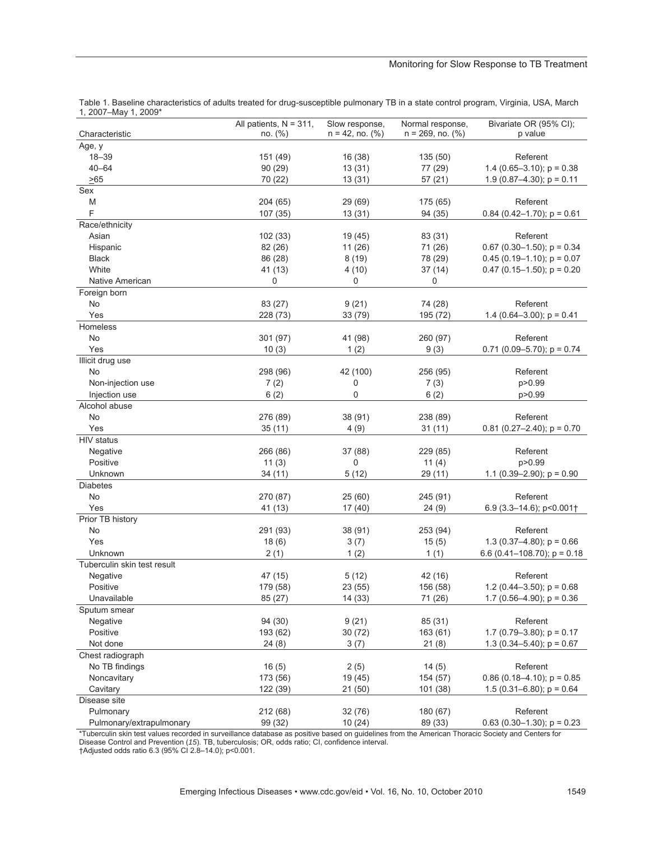# Monitoring for Slow Response to TB Treatment

|                                                                                                                                                   | All patients, $N = 311$ , | Slow response,        | Normal response,       | Bivariate OR (95% CI);          |
|---------------------------------------------------------------------------------------------------------------------------------------------------|---------------------------|-----------------------|------------------------|---------------------------------|
| Characteristic                                                                                                                                    | no. (%)                   | $n = 42$ , no. $(\%)$ | $n = 269$ , no. $(\%)$ | p value                         |
| Age, y                                                                                                                                            |                           |                       |                        |                                 |
| $18 - 39$                                                                                                                                         | 151 (49)                  | 16 (38)               | 135 (50)               | Referent                        |
| $40 - 64$                                                                                                                                         | 90(29)                    | 13(31)                | 77 (29)                | 1.4 (0.65-3.10); $p = 0.38$     |
| $\geq 65$                                                                                                                                         | 70 (22)                   | 13(31)                | 57(21)                 | $1.9(0.87-4.30)$ ; $p = 0.11$   |
| Sex                                                                                                                                               |                           |                       |                        |                                 |
| M                                                                                                                                                 | 204(65)                   | 29 (69)               | 175 (65)               | Referent                        |
| F                                                                                                                                                 | 107 (35)                  | 13(31)                | 94 (35)                | $0.84$ (0.42-1.70); $p = 0.61$  |
| Race/ethnicity                                                                                                                                    |                           |                       |                        |                                 |
| Asian                                                                                                                                             | 102 (33)                  | 19 (45)               | 83 (31)                | Referent                        |
| Hispanic                                                                                                                                          | 82 (26)                   | 11(26)                | 71 (26)                | $0.67$ (0.30-1.50); $p = 0.34$  |
| <b>Black</b>                                                                                                                                      | 86 (28)                   | 8(19)                 | 78 (29)                | $0.45$ (0.19-1.10); $p = 0.07$  |
| White                                                                                                                                             | 41 (13)                   | 4(10)                 | 37(14)                 | $0.47$ (0.15-1.50); $p = 0.20$  |
| Native American                                                                                                                                   | 0                         | 0                     | 0                      |                                 |
| Foreign born                                                                                                                                      |                           |                       |                        |                                 |
| No                                                                                                                                                | 83 (27)                   | 9(21)                 | 74 (28)                | Referent                        |
| Yes                                                                                                                                               | 228 (73)                  | 33 (79)               | 195 (72)               | 1.4 (0.64-3.00); $p = 0.41$     |
| Homeless                                                                                                                                          |                           |                       |                        |                                 |
| No                                                                                                                                                | 301 (97)                  | 41 (98)               | 260 (97)               | Referent                        |
| Yes                                                                                                                                               | 10(3)                     | 1(2)                  | 9(3)                   | $0.71$ (0.09-5.70); $p = 0.74$  |
| Illicit drug use                                                                                                                                  |                           |                       |                        |                                 |
| No                                                                                                                                                | 298 (96)                  | 42 (100)              | 256 (95)               | Referent                        |
| Non-injection use                                                                                                                                 | 7(2)                      | 0                     | 7(3)                   | p>0.99                          |
| Injection use                                                                                                                                     | 6(2)                      | 0                     | 6(2)                   | p>0.99                          |
| Alcohol abuse                                                                                                                                     |                           |                       |                        |                                 |
| No                                                                                                                                                | 276 (89)                  | 38 (91)               | 238 (89)               | Referent                        |
| Yes                                                                                                                                               | 35(11)                    | 4(9)                  | 31(11)                 | $0.81$ (0.27-2.40); $p = 0.70$  |
| HIV status                                                                                                                                        |                           |                       |                        |                                 |
| Negative                                                                                                                                          | 266 (86)                  | 37 (88)               | 229 (85)               | Referent                        |
| Positive                                                                                                                                          | 11(3)                     | 0                     | 11(4)                  | p>0.99                          |
| Unknown                                                                                                                                           | 34 (11)                   | 5(12)                 | 29 (11)                | 1.1 $(0.39-2.90)$ ; $p = 0.90$  |
| <b>Diabetes</b>                                                                                                                                   |                           |                       |                        |                                 |
| <b>No</b>                                                                                                                                         | 270 (87)                  | 25(60)                | 245 (91)               | Referent                        |
| Yes                                                                                                                                               | 41 (13)                   | 17 (40)               | 24(9)                  | 6.9 (3.3-14.6); p<0.001†        |
| Prior TB history                                                                                                                                  |                           |                       |                        |                                 |
| No                                                                                                                                                | 291 (93)                  | 38 (91)               | 253 (94)               | Referent                        |
| Yes                                                                                                                                               | 18(6)                     | 3(7)                  | 15(5)                  | 1.3 (0.37-4.80); $p = 0.66$     |
| Unknown                                                                                                                                           | 2(1)                      | 1(2)                  | 1(1)                   | 6.6 (0.41–108.70); $p = 0.18$   |
| Tuberculin skin test result                                                                                                                       |                           |                       |                        |                                 |
| Negative                                                                                                                                          | 47 (15)                   | 5(12)                 | 42 (16)                | Referent                        |
| Positive                                                                                                                                          | 179 (58)                  | 23 (55)               | 156 (58)               | 1.2 (0.44-3.50); $p = 0.68$     |
| Unavailable                                                                                                                                       | 85 (27)                   | 14 (33)               | 71 (26)                | 1.7 $(0.56-4.90)$ ; p = 0.36    |
| Sputum smear                                                                                                                                      |                           |                       |                        |                                 |
| Negative                                                                                                                                          | 94 (30)                   | 9(21)                 | 85 (31)                | Referent                        |
| Positive                                                                                                                                          | 193 (62)                  | 30(72)                | 163 (61)               | 1.7 $(0.79 - 3.80)$ ; p = 0.17  |
| Not done                                                                                                                                          | 24(8)                     | 3(7)                  | 21(8)                  | $1.3(0.34 - 5.40)$ ; $p = 0.67$ |
| Chest radiograph                                                                                                                                  |                           |                       |                        |                                 |
| No TB findings                                                                                                                                    | 16(5)                     | 2(5)                  | 14(5)                  | Referent                        |
| Noncavitary                                                                                                                                       | 173 (56)                  | 19 (45)               | 154 (57)               | $0.86$ (0.18-4.10); $p = 0.85$  |
| Cavitary                                                                                                                                          | 122 (39)                  | 21(50)                | 101 (38)               | 1.5 $(0.31 - 6.80)$ ; p = 0.64  |
| Disease site                                                                                                                                      |                           |                       |                        |                                 |
| Pulmonary                                                                                                                                         | 212 (68)                  | 32 (76)               | 180 (67)               | Referent                        |
| Pulmonary/extrapulmonary                                                                                                                          | 99 (32)                   | 10(24)                | 89 (33)                | $0.63$ (0.30-1.30); $p = 0.23$  |
| *Tuberculin skin test values recorded in sunseillance database as positive based on quidelines from the American Theracis Society and Centers for |                           |                       |                        |                                 |

Table 1. Baseline characteristics of adults treated for drug-susceptible pulmonary TB in a state control program, Virginia, USA, March 1, 2007–May 1, 2009\*

\*Tuberculin skin test values recorded in surveillance database as positive based on guidelines from the American Thoracic Society and Centers for Disease Control and Prevention (*15*). TB, tuberculosis; OR, odds ratio; CI, confidence interval.

†Adjusted odds ratio 6.3 (95% CI 2.8–14.0); p<0.001.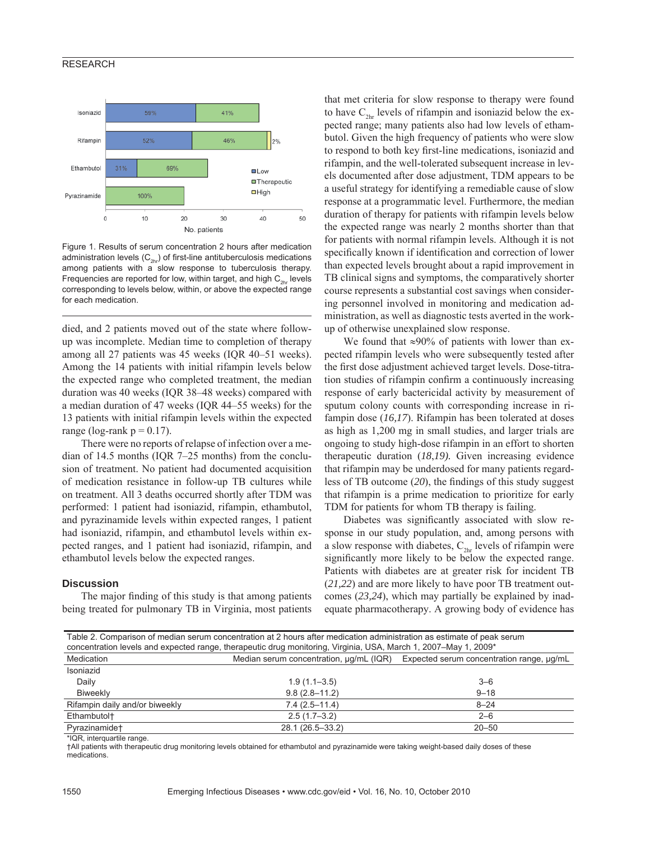#### **RESEARCH**



Figure 1. Results of serum concentration 2 hours after medication administration levels  $(C_{2hr})$  of first-line antituberculosis medications among patients with a slow response to tuberculosis therapy. Frequencies are reported for low, within target, and high  $C_{2hr}$  levels corresponding to levels below, within, or above the expected range for each medication.

died, and 2 patients moved out of the state where followup was incomplete. Median time to completion of therapy among all 27 patients was 45 weeks (IQR 40–51 weeks). Among the 14 patients with initial rifampin levels below the expected range who completed treatment, the median duration was 40 weeks (IQR 38–48 weeks) compared with a median duration of 47 weeks (IQR 44–55 weeks) for the 13 patients with initial rifampin levels within the expected range (log-rank  $p = 0.17$ ).

There were no reports of relapse of infection over a median of 14.5 months (IQR 7–25 months) from the conclusion of treatment. No patient had documented acquisition of medication resistance in follow-up TB cultures while on treatment. All 3 deaths occurred shortly after TDM was performed: 1 patient had isoniazid, rifampin, ethambutol, and pyrazinamide levels within expected ranges, 1 patient had isoniazid, rifampin, and ethambutol levels within expected ranges, and 1 patient had isoniazid, rifampin, and ethambutol levels below the expected ranges.

#### **Discussion**

The major finding of this study is that among patients being treated for pulmonary TB in Virginia, most patients that met criteria for slow response to therapy were found to have  $C_{2hr}$  levels of rifampin and isoniazid below the expected range; many patients also had low levels of ethambutol. Given the high frequency of patients who were slow to respond to both key first-line medications, isoniazid and rifampin, and the well-tolerated subsequent increase in levels documented after dose adjustment, TDM appears to be a useful strategy for identifying a remediable cause of slow response at a programmatic level. Furthermore, the median duration of therapy for patients with rifampin levels below the expected range was nearly 2 months shorter than that for patients with normal rifampin levels. Although it is not specifically known if identification and correction of lower than expected levels brought about a rapid improvement in TB clinical signs and symptoms, the comparatively shorter course represents a substantial cost savings when considering personnel involved in monitoring and medication administration, as well as diagnostic tests averted in the workup of otherwise unexplained slow response.

We found that  $\approx 90\%$  of patients with lower than expected rifampin levels who were subsequently tested after the first dose adjustment achieved target levels. Dose-titration studies of rifampin confirm a continuously increasing response of early bactericidal activity by measurement of sputum colony counts with corresponding increase in rifampin dose (*16,17*). Rifampin has been tolerated at doses as high as 1,200 mg in small studies, and larger trials are ongoing to study high-dose rifampin in an effort to shorten therapeutic duration (*18*,*19).* Given increasing evidence that rifampin may be underdosed for many patients regardless of TB outcome (20), the findings of this study suggest that rifampin is a prime medication to prioritize for early TDM for patients for whom TB therapy is failing.

Diabetes was significantly associated with slow response in our study population, and, among persons with a slow response with diabetes,  $C_{2hr}$  levels of rifampin were significantly more likely to be below the expected range. Patients with diabetes are at greater risk for incident TB (*21,22*) and are more likely to have poor TB treatment outcomes (*23,24*), which may partially be explained by inadequate pharmacotherapy. A growing body of evidence has

| Table 2. Comparison of median serum concentration at 2 hours after medication administration as estimate of peak serum<br>concentration levels and expected range, therapeutic drug monitoring, Virginia, USA, March 1, 2007–May 1, 2009* |                   |                                                                                   |  |  |  |
|-------------------------------------------------------------------------------------------------------------------------------------------------------------------------------------------------------------------------------------------|-------------------|-----------------------------------------------------------------------------------|--|--|--|
| Medication                                                                                                                                                                                                                                |                   | Median serum concentration, µg/mL (IQR) Expected serum concentration range, µg/mL |  |  |  |
| Isoniazid                                                                                                                                                                                                                                 |                   |                                                                                   |  |  |  |
| Daily                                                                                                                                                                                                                                     | $1.9(1.1 - 3.5)$  | $3 - 6$                                                                           |  |  |  |
| Biweekly                                                                                                                                                                                                                                  | $9.8(2.8 - 11.2)$ | $9 - 18$                                                                          |  |  |  |
| Rifampin daily and/or biweekly                                                                                                                                                                                                            | $7.4(2.5 - 11.4)$ | $8 - 24$                                                                          |  |  |  |
| Ethambutol <sup>+</sup>                                                                                                                                                                                                                   | $2.5(1.7-3.2)$    | $2 - 6$                                                                           |  |  |  |
| Pyrazinamide <sup>+</sup>                                                                                                                                                                                                                 | 28.1 (26.5-33.2)  | $20 - 50$                                                                         |  |  |  |

\*IQR, interquartile range.

†All patients with therapeutic drug monitoring levels obtained for ethambutol and pyrazinamide were taking weight-based daily doses of these medications.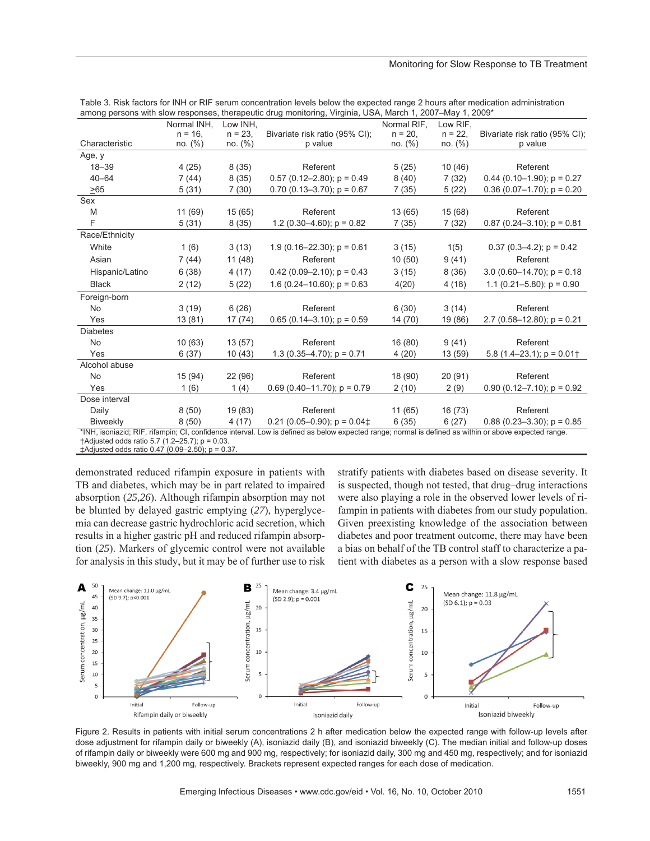#### Monitoring for Slow Response to TB Treatment

|                                                   | Normal INH, | Low INH. | $100 \text{ m}$ pologilo mail clon recponses, along pound ang momenting, virginia, cont, march 1, 2001. May 1, 2000                                   | Normal RIF, | Low RIF. |                                         |
|---------------------------------------------------|-------------|----------|-------------------------------------------------------------------------------------------------------------------------------------------------------|-------------|----------|-----------------------------------------|
|                                                   | $n = 16$ .  | $n = 23$ | Bivariate risk ratio (95% CI);                                                                                                                        | $n = 20.$   | $n = 22$ | Bivariate risk ratio (95% CI);          |
| Characteristic                                    | no. (%)     | no. (%)  | p value                                                                                                                                               | no. (%)     | no. (%)  | p value                                 |
| Age, y                                            |             |          |                                                                                                                                                       |             |          |                                         |
| $18 - 39$                                         | 4(25)       | 8(35)    | Referent                                                                                                                                              | 5(25)       | 10(46)   | Referent                                |
| $40 - 64$                                         | 7(44)       | 8(35)    | $0.57$ (0.12-2.80); $p = 0.49$                                                                                                                        | 8(40)       | 7(32)    | $0.44$ (0.10-1.90); $p = 0.27$          |
| $\geq 65$                                         | 5(31)       | 7(30)    | $0.70(0.13 - 3.70)$ ; $p = 0.67$                                                                                                                      | 7(35)       | 5(22)    | $0.36(0.07-1.70)$ ; p = 0.20            |
| Sex                                               |             |          |                                                                                                                                                       |             |          |                                         |
| M                                                 | 11 (69)     | 15(65)   | Referent                                                                                                                                              | 13(65)      | 15(68)   | Referent                                |
| F                                                 | 5(31)       | 8(35)    | 1.2 $(0.30-4.60)$ ; p = 0.82                                                                                                                          | 7(35)       | 7(32)    | $0.87$ (0.24-3.10); $p = 0.81$          |
| Race/Ethnicity                                    |             |          |                                                                                                                                                       |             |          |                                         |
| White                                             | 1(6)        | 3(13)    | $1.9(0.16 - 22.30)$ ; $p = 0.61$                                                                                                                      | 3(15)       | 1(5)     | $0.37$ (0.3–4.2); $p = 0.42$            |
| Asian                                             | 7(44)       | 11(48)   | Referent                                                                                                                                              | 10(50)      | 9(41)    | Referent                                |
| Hispanic/Latino                                   | 6(38)       | 4(17)    | $0.42$ (0.09–2.10); $p = 0.43$                                                                                                                        | 3(15)       | 8(36)    | $3.0(0.60-14.70)$ ; $p = 0.18$          |
| <b>Black</b>                                      | 2(12)       | 5(22)    | $1.6(0.24 - 10.60)$ ; $p = 0.63$                                                                                                                      | 4(20)       | 4(18)    | 1.1 $(0.21 - 5.80)$ ; p = 0.90          |
| Foreign-born                                      |             |          |                                                                                                                                                       |             |          |                                         |
| <b>No</b>                                         | 3(19)       | 6(26)    | Referent                                                                                                                                              | 6(30)       | 3(14)    | Referent                                |
| Yes                                               | 13 (81)     | 17(74)   | $0.65(0.14-3.10); p = 0.59$                                                                                                                           | 14 (70)     | 19 (86)  | 2.7 $(0.58 - 12.80)$ ; p = 0.21         |
| <b>Diabetes</b>                                   |             |          |                                                                                                                                                       |             |          |                                         |
| <b>No</b>                                         | 10(63)      | 13(57)   | Referent                                                                                                                                              | 16(80)      | 9(41)    | Referent                                |
| Yes                                               | 6(37)       | 10(43)   | $1.3(0.35-4.70)$ ; $p = 0.71$                                                                                                                         | 4(20)       | 13 (59)  | 5.8 (1.4–23.1); $p = 0.01$ <sup>+</sup> |
| Alcohol abuse                                     |             |          |                                                                                                                                                       |             |          |                                         |
| <b>No</b>                                         | 15 (94)     | 22 (96)  | Referent                                                                                                                                              | 18 (90)     | 20(91)   | Referent                                |
| Yes                                               | 1(6)        | 1(4)     | $0.69(0.40-11.70)$ ; $p = 0.79$                                                                                                                       | 2(10)       | 2(9)     | $0.90(0.12 - 7.10)$ ; $p = 0.92$        |
| Dose interval                                     |             |          |                                                                                                                                                       |             |          |                                         |
| Daily                                             | 8(50)       | 19 (83)  | Referent                                                                                                                                              | 11(65)      | 16(73)   | Referent                                |
| Biweekly                                          | 8(50)       | 4(17)    | $0.21(0.05-0.90)$ ; $p = 0.04\pm$                                                                                                                     | 6(35)       | 6(27)    | $0.88(0.23 - 3.30)$ ; $p = 0.85$        |
| +Adjusted odds ratio 5.7 (1.2-25.7); $p = 0.03$ . |             |          | *INH, isoniazid; RIF, rifampin; CI, confidence interval. Low is defined as below expected range; normal is defined as within or above expected range. |             |          |                                         |

Table 3. Risk factors for INH or RIF serum concentration levels below the expected range 2 hours after medication administration among persons with slow responses, therapeutic drug monitoring, Virginia, USA, March 1, 2007–May 1, 2009\*

‡Adjusted odds ratio 0.47 (0.09–2.50); p = 0.37.

demonstrated reduced rifampin exposure in patients with TB and diabetes, which may be in part related to impaired absorption (*25,26*). Although rifampin absorption may not be blunted by delayed gastric emptying (*27*), hyperglycemia can decrease gastric hydrochloric acid secretion, which results in a higher gastric pH and reduced rifampin absorption (*25*). Markers of glycemic control were not available for analysis in this study, but it may be of further use to risk stratify patients with diabetes based on disease severity. It is suspected, though not tested, that drug–drug interactions were also playing a role in the observed lower levels of rifampin in patients with diabetes from our study population. Given preexisting knowledge of the association between diabetes and poor treatment outcome, there may have been a bias on behalf of the TB control staff to characterize a patient with diabetes as a person with a slow response based



Figure 2. Results in patients with initial serum concentrations 2 h after medication below the expected range with follow-up levels after dose adjustment for rifampin daily or biweekly (A), isoniazid daily (B), and isoniazid biweekly (C). The median initial and follow-up doses of rifampin daily or biweekly were 600 mg and 900 mg, respectively; for isoniazid daily, 300 mg and 450 mg, respectively; and for isoniazid biweekly, 900 mg and 1,200 mg, respectively. Brackets represent expected ranges for each dose of medication.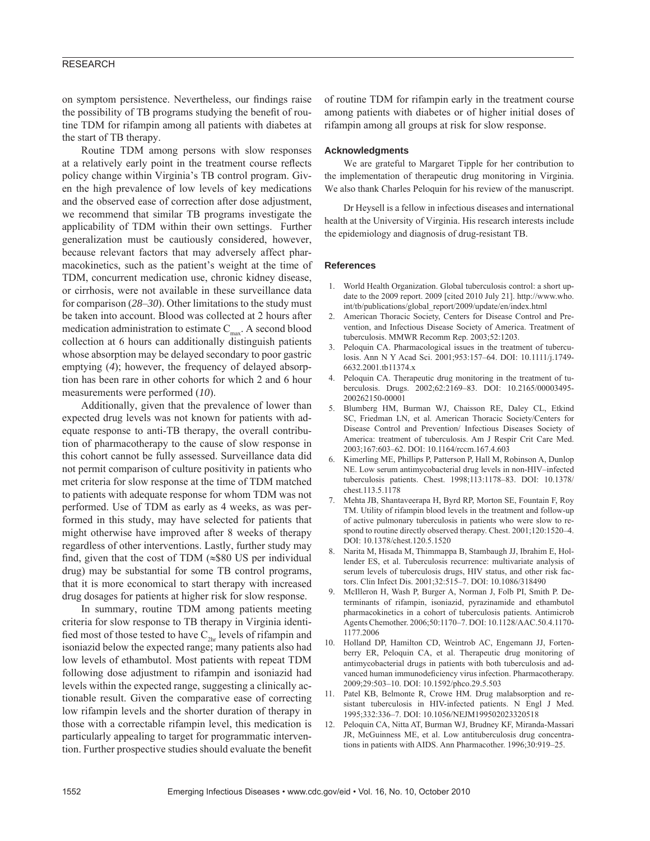# RESEARCH

on symptom persistence. Nevertheless, our findings raise the possibility of TB programs studying the benefit of routine TDM for rifampin among all patients with diabetes at the start of TB therapy.

Routine TDM among persons with slow responses at a relatively early point in the treatment course reflects policy change within Virginia's TB control program. Given the high prevalence of low levels of key medications and the observed ease of correction after dose adjustment, we recommend that similar TB programs investigate the applicability of TDM within their own settings. Further generalization must be cautiously considered, however, because relevant factors that may adversely affect pharmacokinetics, such as the patient's weight at the time of TDM, concurrent medication use, chronic kidney disease, or cirrhosis, were not available in these surveillance data for comparison (*28*–*30*). Other limitations to the study must be taken into account. Blood was collected at 2 hours after medication administration to estimate  $C_{\text{max}}$ . A second blood collection at 6 hours can additionally distinguish patients whose absorption may be delayed secondary to poor gastric emptying (*4*); however, the frequency of delayed absorption has been rare in other cohorts for which 2 and 6 hour measurements were performed (*10*).

Additionally, given that the prevalence of lower than expected drug levels was not known for patients with adequate response to anti-TB therapy, the overall contribution of pharmacotherapy to the cause of slow response in this cohort cannot be fully assessed. Surveillance data did not permit comparison of culture positivity in patients who met criteria for slow response at the time of TDM matched to patients with adequate response for whom TDM was not performed. Use of TDM as early as 4 weeks, as was performed in this study, may have selected for patients that might otherwise have improved after 8 weeks of therapy regardless of other interventions. Lastly, further study may find, given that the cost of TDM  $(\approx 80 \text{ US per individual})$ drug) may be substantial for some TB control programs, that it is more economical to start therapy with increased drug dosages for patients at higher risk for slow response.

In summary, routine TDM among patients meeting criteria for slow response to TB therapy in Virginia identified most of those tested to have  $C_{2hr}$  levels of rifampin and isoniazid below the expected range; many patients also had low levels of ethambutol. Most patients with repeat TDM following dose adjustment to rifampin and isoniazid had levels within the expected range, suggesting a clinically actionable result. Given the comparative ease of correcting low rifampin levels and the shorter duration of therapy in those with a correctable rifampin level, this medication is particularly appealing to target for programmatic intervention. Further prospective studies should evaluate the benefit

of routine TDM for rifampin early in the treatment course among patients with diabetes or of higher initial doses of rifampin among all groups at risk for slow response.

#### **Acknowledgments**

We are grateful to Margaret Tipple for her contribution to the implementation of therapeutic drug monitoring in Virginia. We also thank Charles Peloquin for his review of the manuscript.

Dr Heysell is a fellow in infectious diseases and international health at the University of Virginia. His research interests include the epidemiology and diagnosis of drug-resistant TB.

#### **References**

- 1. World Health Organization. Global tuberculosis control: a short update to the 2009 report. 2009 [cited 2010 July 21]. http://www.who. int/tb/publications/global\_report/2009/update/en/index.html
- 2. American Thoracic Society, Centers for Disease Control and Prevention, and Infectious Disease Society of America. Treatment of tuberculosis. MMWR Recomm Rep. 2003;52:1203.
- 3. Peloquin CA. Pharmacological issues in the treatment of tuberculosis. Ann N Y Acad Sci. 2001;953:157–64. DOI: 10.1111/j.1749- 6632.2001.tb11374.x
- Peloquin CA. Therapeutic drug monitoring in the treatment of tuberculosis. Drugs. 2002;62:2169–83. DOI: 10.2165/00003495- 200262150-00001
- 5. Blumberg HM, Burman WJ, Chaisson RE, Daley CL, Etkind SC, Friedman LN, et al. American Thoracic Society/Centers for Disease Control and Prevention/ Infectious Diseases Society of America: treatment of tuberculosis. Am J Respir Crit Care Med. 2003;167:603–62. DOI: 10.1164/rccm.167.4.603
- 6. Kimerling ME, Phillips P, Patterson P, Hall M, Robinson A, Dunlop NE. Low serum antimycobacterial drug levels in non-HIV–infected tuberculosis patients. Chest. 1998;113:1178–83. DOI: 10.1378/ chest.113.5.1178
- 7. Mehta JB, Shantaveerapa H, Byrd RP, Morton SE, Fountain F, Roy TM. Utility of rifampin blood levels in the treatment and follow-up of active pulmonary tuberculosis in patients who were slow to respond to routine directly observed therapy. Chest. 2001;120:1520–4. DOI: 10.1378/chest.120.5.1520
- 8. Narita M, Hisada M, Thimmappa B, Stambaugh JJ, Ibrahim E, Hollender ES, et al. Tuberculosis recurrence: multivariate analysis of serum levels of tuberculosis drugs, HIV status, and other risk factors. Clin Infect Dis. 2001;32:515–7. DOI: 10.1086/318490
- 9. McIlleron H, Wash P, Burger A, Norman J, Folb PI, Smith P. Determinants of rifampin, isoniazid, pyrazinamide and ethambutol pharmacokinetics in a cohort of tuberculosis patients. Antimicrob Agents Chemother. 2006;50:1170–7. DOI: 10.1128/AAC.50.4.1170- 1177.2006
- 10. Holland DP, Hamilton CD, Weintrob AC, Engemann JJ, Fortenberry ER, Peloquin CA, et al. Therapeutic drug monitoring of antimycobacterial drugs in patients with both tuberculosis and advanced human immunodeficiency virus infection. Pharmacotherapy. 2009;29:503–10. DOI: 10.1592/phco.29.5.503
- 11. Patel KB, Belmonte R, Crowe HM. Drug malabsorption and resistant tuberculosis in HIV-infected patients. N Engl J Med. 1995;332:336–7. DOI: 10.1056/NEJM199502023320518
- 12. Peloquin CA, Nitta AT, Burman WJ, Brudney KF, Miranda-Massari JR, McGuinness ME, et al. Low antituberculosis drug concentrations in patients with AIDS. Ann Pharmacother. 1996;30:919–25.